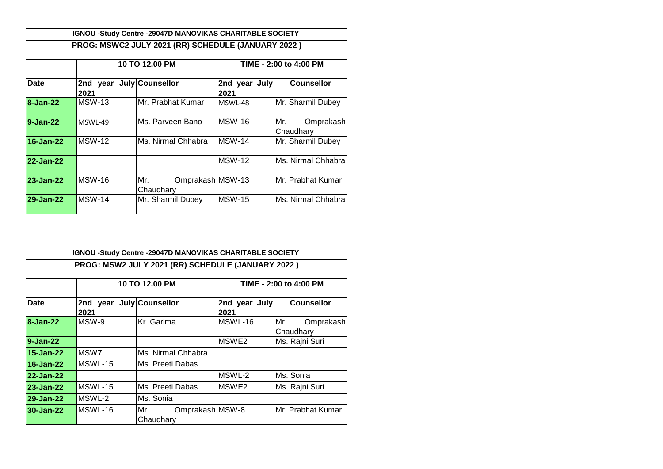|              |                  | <b>IGNOU -Study Centre -29047D MANOVIKAS CHARITABLE SOCIETY</b> |                       |                               |  |
|--------------|------------------|-----------------------------------------------------------------|-----------------------|-------------------------------|--|
|              |                  | PROG: MSWC2 JULY 2021 (RR) SCHEDULE (JANUARY 2022)              |                       |                               |  |
|              |                  | 10 TO 12.00 PM                                                  |                       | TIME - 2:00 to 4:00 PM        |  |
| Date         | 2nd year<br>2021 | July Counsellor                                                 | 2nd year July<br>2021 | <b>Counsellor</b>             |  |
| 8-Jan-22     | <b>MSW-13</b>    | Mr. Prabhat Kumar                                               | <b>MSWI-48</b>        | Mr. Sharmil Dubey             |  |
| $9 - Jan-22$ | <b>MSWI-49</b>   | Ms. Parveen Bano                                                | <b>MSW-16</b>         | Mr.<br>Omprakash<br>Chaudhary |  |
| 16-Jan-22    | <b>MSW-12</b>    | Ms. Nirmal Chhabra                                              | <b>MSW-14</b>         | Mr. Sharmil Dubey             |  |
| 22-Jan-22    |                  |                                                                 | <b>MSW-12</b>         | Ms. Nirmal Chhabra            |  |
| 23-Jan-22    | MSW-16           | Omprakash MSW-13<br>Mr.<br>Chaudhary                            |                       | Mr. Prabhat Kumar             |  |
| 29-Jan-22    | <b>MSW-14</b>    | Mr. Sharmil Dubey                                               | <b>MSW-15</b>         | Ms. Nirmal Chhabral           |  |

|                  |                                  | IGNOU -Study Centre -29047D MANOVIKAS CHARITABLE SOCIETY |                       |                               |
|------------------|----------------------------------|----------------------------------------------------------|-----------------------|-------------------------------|
|                  |                                  | PROG: MSW2 JULY 2021 (RR) SCHEDULE (JANUARY 2022)        |                       |                               |
|                  |                                  | 10 TO 12.00 PM                                           |                       | TIME - 2:00 to 4:00 PM        |
| <b>Date</b>      | 2nd year July Counsellor<br>2021 |                                                          | 2nd year July<br>2021 | <b>Counsellor</b>             |
| 8-Jan-22         | MSW-9                            | Kr. Garima                                               | MSWL-16               | Mr.<br>Omprakash<br>Chaudhary |
| $9 - Jan-22$     |                                  |                                                          | MSWE2                 | Ms. Rajni Suri                |
| 15-Jan-22        | MSW7                             | Ms. Nirmal Chhabra                                       |                       |                               |
| 16-Jan-22        | MSWL-15                          | Ms. Preeti Dabas                                         |                       |                               |
| 22-Jan-22        |                                  |                                                          | MSWL-2                | Ms. Sonia                     |
| <b>23-Jan-22</b> | MSWL-15                          | Ms. Preeti Dabas                                         | MSWE2                 | Ms. Rajni Suri                |
| 29-Jan-22        | MSWL-2                           | Ms. Sonia                                                |                       |                               |
| 30-Jan-22        | MSWL-16                          | Omprakash MSW-8<br>Mr.<br>Chaudhary                      |                       | Mr. Prabhat Kumar             |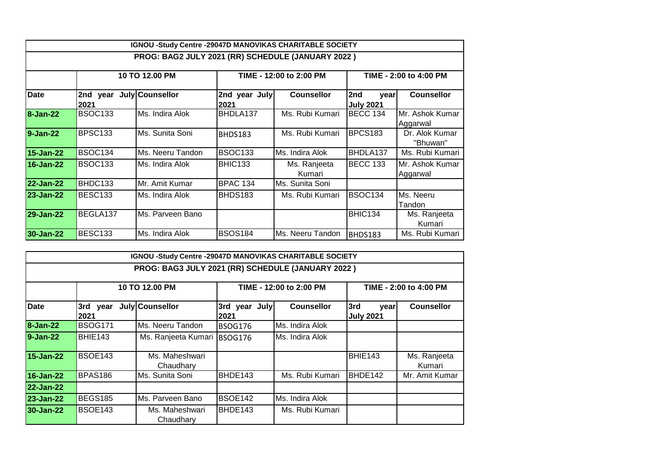|                  |                     | IGNOU -Study Centre -29047D MANOVIKAS CHARITABLE SOCIETY |                       |                         |                                 |                             |
|------------------|---------------------|----------------------------------------------------------|-----------------------|-------------------------|---------------------------------|-----------------------------|
|                  |                     | PROG: BAG2 JULY 2021 (RR) SCHEDULE (JANUARY 2022)        |                       |                         |                                 |                             |
|                  |                     | 10 TO 12.00 PM                                           |                       | TIME - 12:00 to 2:00 PM |                                 | TIME - 2:00 to 4:00 PM      |
| <b>Date</b>      | 2nd<br>year<br>2021 | July Counsellor                                          | 2nd year July<br>2021 | <b>Counsellor</b>       | 2nd<br>vear<br><b>July 2021</b> | <b>Counsellor</b>           |
| <b>8-Jan-22</b>  | <b>BSOC133</b>      | Ms. Indira Alok                                          | BHDLA137              | Ms. Rubi Kumari         | <b>BECC 134</b>                 | Mr. Ashok Kumar<br>Aggarwal |
| 9-Jan-22         | <b>BPSC133</b>      | Ms. Sunita Soni                                          | BHDS183               | Ms. Rubi Kumari         | <b>BPCS183</b>                  | Dr. Alok Kumar<br>"Bhuwan"  |
| 15-Jan-22        | BSOC <sub>134</sub> | Ms. Neeru Tandon                                         | <b>BSOC133</b>        | Ms. Indira Alok         | BHDLA137                        | Ms. Rubi Kumari             |
| 16-Jan-22        | <b>BSOC133</b>      | Ms. Indira Alok                                          | <b>BHIC133</b>        | Ms. Ranjeeta<br>Kumari  | <b>BECC 133</b>                 | Mr. Ashok Kumar<br>Aggarwal |
| 22-Jan-22        | BHDC133             | Mr. Amit Kumar                                           | <b>BPAC 134</b>       | Ms. Sunita Soni         |                                 |                             |
| 23-Jan-22        | BESC <sub>133</sub> | Ms. Indira Alok                                          | BHDS183               | Ms. Rubi Kumari         | <b>BSOC134</b>                  | Ms. Neeru<br>Tandon         |
| <b>29-Jan-22</b> | BEGLA137            | Ms. Parveen Bano                                         |                       |                         | BHIC134                         | Ms. Ranjeeta<br>Kumari      |
| 30-Jan-22        | <b>BESC133</b>      | Ms. Indira Alok                                          | <b>BSOS184</b>        | Ms. Neeru Tandon        | BHDS183                         | Ms. Rubi Kumari             |

|                  |                  | IGNOU -Study Centre -29047D MANOVIKAS CHARITABLE SOCIETY |                       |                         |                                 |                        |
|------------------|------------------|----------------------------------------------------------|-----------------------|-------------------------|---------------------------------|------------------------|
|                  |                  | PROG: BAG3 JULY 2021 (RR) SCHEDULE (JANUARY 2022)        |                       |                         |                                 |                        |
|                  |                  | 10 TO 12.00 PM                                           |                       | TIME - 12:00 to 2:00 PM |                                 | TIME - 2:00 to 4:00 PM |
| <b>Date</b>      | 3rd year<br>2021 | July Counsellor                                          | 3rd year July<br>2021 | <b>Counsellor</b>       | 3rd<br>vear<br><b>July 2021</b> | <b>Counsellor</b>      |
| <b>8-Jan-22</b>  | <b>BSOG171</b>   | Ms. Neeru Tandon                                         | <b>BSOG176</b>        | Ms. Indira Alok         |                                 |                        |
| $9 - Jan-22$     | BHIE143          | Ms. Ranjeeta Kumari                                      | <b>BSOG176</b>        | Ms. Indira Alok         |                                 |                        |
| 15-Jan-22        | BSOE143          | Ms. Maheshwari<br>Chaudharv                              |                       |                         | BHIE143                         | Ms. Ranjeeta<br>Kumari |
| 16-Jan-22        | <b>BPAS186</b>   | Ms. Sunita Soni                                          | BHDE143               | Ms. Rubi Kumari         | BHDE142                         | Mr. Amit Kumar         |
| <b>22-Jan-22</b> |                  |                                                          |                       |                         |                                 |                        |
| 23-Jan-22        | BEGS185          | Ms. Parveen Bano                                         | <b>BSOE142</b>        | Ms. Indira Alok         |                                 |                        |
| 30-Jan-22        | BSOE143          | Ms. Maheshwari<br>Chaudhary                              | BHDE143               | Ms. Rubi Kumari         |                                 |                        |